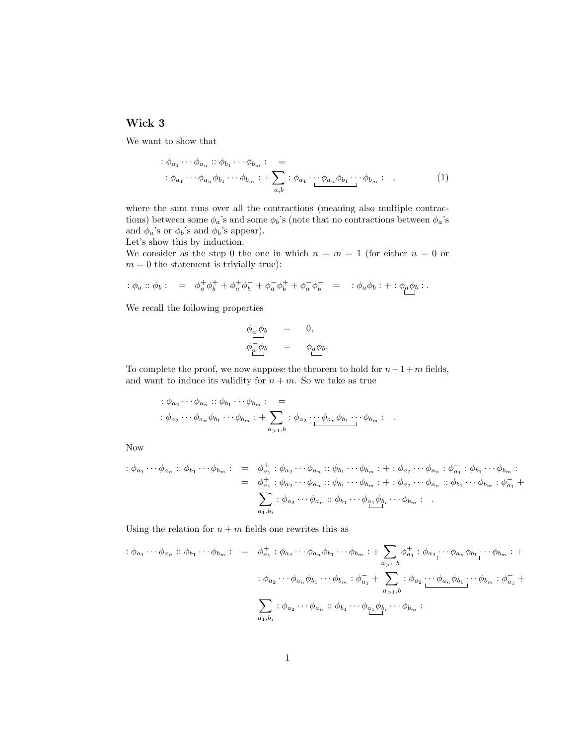## Wick 3

We want to show that

$$
\begin{aligned}\n\therefore \phi_{a_1} \cdots \phi_{a_n} &\therefore \phi_{b_1} \cdots \phi_{b_m} : \\
&\vdots \phi_{a_1} \cdots \phi_{a_n} \phi_{b_1} \cdots \phi_{b_m} : + \sum_{a,b} : \phi_{a_1} \cdots \phi_{a_n} \phi_{b_1} \cdots \phi_{b_m} : \\
&\quad \text{(1)}\n\end{aligned}
$$

where the sum runs over all the contractions (meaning also multiple contractions) between some  $\phi_a$ 's and some  $\phi_b$ 's (note that no contractions between  $\phi_a$ 's and  $\phi_a$ 's or  $\phi_b$ 's and  $\phi_b$ 's appear).

Let's show this by induction.

We consider as the step 0 the one in which  $n = m = 1$  (for either  $n = 0$  or  $m = 0$  the statement is trivially true):

$$
\div \phi_a :: \phi_b : = \phi_a^+ \phi_b^+ + \phi_a^+ \phi_b^- + \phi_a^- \phi_b^+ + \phi_a^- \phi_b^- = \div \phi_a \phi_b : + : \phi_a \phi_b : .
$$

We recall the following properties

$$
\begin{array}{rcl}\n\phi_{\mu}^{+}\phi_{b} & = & 0, \\
\phi_{\mu}^{-}\phi_{b} & = & \phi_{a}\phi_{b}.\n\end{array}
$$

To complete the proof, we now suppose the theorem to hold for  $n-1+m$  fields, and want to induce its validity for  $n + m$ . So we take as true

$$
\begin{aligned}\n\vdots \phi_{a_2} \cdots \phi_{a_n} &\vdots \phi_{b_1} \cdots \phi_{b_m} \vdots \\
\vdots \phi_{a_2} \cdots \phi_{a_n} \phi_{b_1} \cdots \phi_{b_m} &\vdots \quad \downarrow \sum_{a_{>1},b} \vdots \phi_{a_2} \cdots \phi_{a_n} \phi_{b_1} \cdots \phi_{b_m} \vdots\n\end{aligned}
$$

Now

$$
\begin{array}{rcl}\n\vdots \phi_{a_1} \cdots \phi_{a_n} \cdots \phi_{b_m} \cdots \phi_{b_m} \cdots & \phi_{a_1} \cdots \phi_{a_n} \cdots \phi_{b_n} \cdots \phi_{b_m} \cdots \phi_{b_m} \cdots \phi_{a_n} \cdots \phi_{a_n} \cdots \phi_{b_n} \cdots \phi_{b_m} \cdots \\
& = & \phi_{a_1}^+ : \phi_{a_2} \cdots \phi_{a_n} \cdots \phi_{b_1} \cdots \phi_{b_m} \cdots \phi_{b_n} \cdots \phi_{b_n} \cdots \phi_{b_m} \cdots \phi_{b_m} \cdots \phi_{b_m} \cdots \phi_{b_m} \cdots \phi_{b_m} \cdots \phi_{b_n} \\
& & \sum_{a_1, b_i} : \phi_{a_2} \cdots \phi_{a_n} \cdots \phi_{b_1} \cdots \phi_{a_1} \phi_{b_i} \cdots \phi_{b_m} \cdots \end{array}
$$

Using the relation for  $n + m$  fields one rewrites this as

$$
\begin{array}{rcl}\n\vdots \phi_{a_1} \cdots \phi_{a_n} \n\vdots \phi_{b_1} \cdots \phi_{b_m} \n\vdots & = & \phi_{a_1}^+ \vdots \phi_{a_2} \cdots \phi_{a_n} \phi_{b_1} \cdots \phi_{b_m} \n\vdots \\
& + \sum_{a_{>1},b} \phi_{a_1}^+ \vdots \phi_{a_2} \cdots \phi_{a_n} \phi_{b_1} \cdots \phi_{b_m} \n\end{array}
$$
\n
$$
\vdots \phi_{a_2} \cdots \phi_{a_n} \phi_{b_1} \cdots \phi_{b_m} \n\vdots \phi_{a_1}^+ \uparrow \sum_{a_{>1},b} \vdots \phi_{a_2} \underbrace{\cdots \phi_{a_n} \phi_{b_1} \cdots \phi_{b_m} \n\vdots \phi_{a_1}^+}_{a_1, b_1} + \sum_{a_{>1},b} \vdots \phi_{a_2} \cdots \phi_{a_n} \phi_{b_1} \cdots \phi_{b_m} \n\end{array}
$$